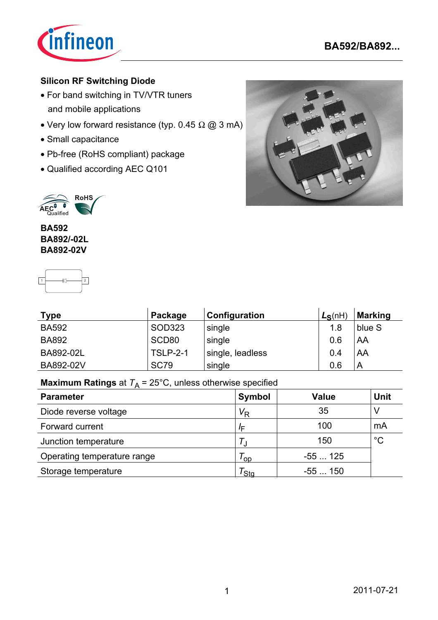

## **Silicon RF Switching Diode**

- For band switching in TV/VTR tuners and mobile applications
- Very low forward resistance (typ.  $0.45 \Omega \omega$  3 mA)
- Small capacitance
- Pb-free (RoHS compliant) package
- Qualified according AEC Q101





**BA592 BA892/-02L BA892-02V**



| <b>Type</b>  | Package           | Configuration    | $L_S(nH)$ | <b>Marking</b> |
|--------------|-------------------|------------------|-----------|----------------|
| <b>BA592</b> | SOD323            | single           | 1.8       | blue S         |
| <b>BA892</b> | SCD <sub>80</sub> | single           | 0.6       | AA             |
| BA892-02L    | <b>TSLP-2-1</b>   | single, leadless | 0.4       | AA             |
| BA892-02V    | <b>SC79</b>       | single           | 0.6       | A              |

**Maximum Ratings** at  $T_A = 25^{\circ}$ C, unless otherwise specified

| <b>Parameter</b>            | Symbol                  | <b>Value</b> | <b>Unit</b> |
|-----------------------------|-------------------------|--------------|-------------|
| Diode reverse voltage       | $\mathsf{V}_\mathsf{R}$ | 35           |             |
| Forward current             | $I_{\mathsf{F}}$        | 100          | mA          |
| Junction temperature        |                         | 150          | $^{\circ}C$ |
| Operating temperature range | <b>OD</b>               | $-55125$     |             |
| Storage temperature         | <sup>'</sup> Sta        | $-55150$     |             |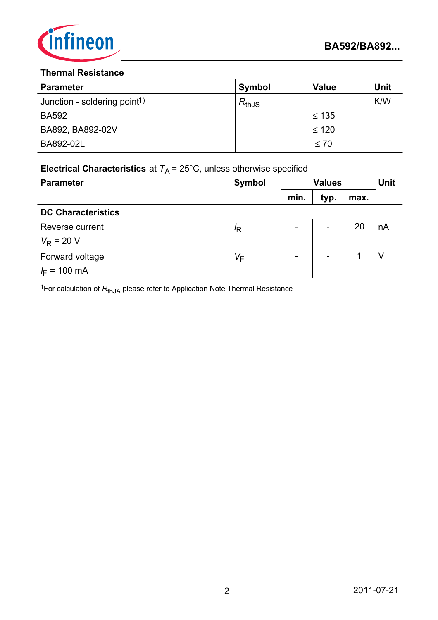

#### **Thermal Resistance**

| <b>Parameter</b>                         | <b>Symbol</b> | <b>Value</b> | <b>Unit</b> |
|------------------------------------------|---------------|--------------|-------------|
| Junction - soldering point <sup>1)</sup> | $R_{thJS}$    |              | K/W         |
| <b>BA592</b>                             |               | $\leq 135$   |             |
| BA892, BA892-02V                         |               | $\leq 120$   |             |
| BA892-02L                                |               | $\leq 70$    |             |

# **Electrical Characteristics** at  $T_A = 25^{\circ}$ C, unless otherwise specified

| <b>Parameter</b>          | <b>Symbol</b> | <b>Values</b> |      |      | <b>Unit</b> |
|---------------------------|---------------|---------------|------|------|-------------|
|                           |               | min.          | typ. | max. |             |
| <b>DC Characteristics</b> |               |               |      |      |             |
| Reverse current           | $\sqrt{R}$    | -             | -    | 20   | nA          |
| $V_R$ = 20 V              |               |               |      |      |             |
| Forward voltage           | $V_F$         | -             | -    |      | ν           |
| $I_F = 100 \text{ mA}$    |               |               |      |      |             |

<sup>1</sup>For calculation of  $R_{thJA}$  please refer to Application Note Thermal Resistance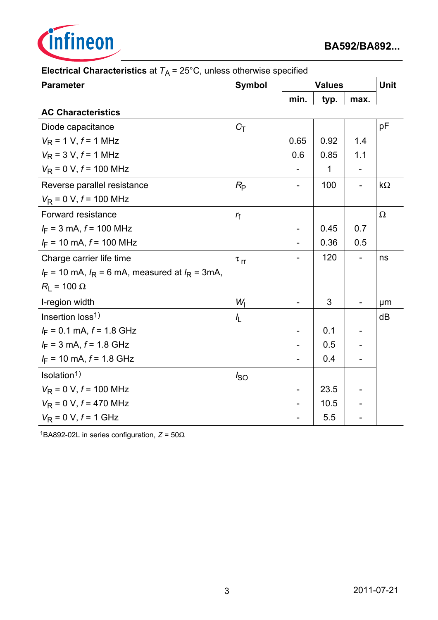

| $\cdot$ A<br><b>Parameter</b>                         | <b>Symbol</b>        |      | <b>Values</b> |      |           |
|-------------------------------------------------------|----------------------|------|---------------|------|-----------|
|                                                       |                      | min. | typ.          | max. |           |
| <b>AC Characteristics</b>                             |                      |      |               |      |           |
| Diode capacitance                                     | $C_T$                |      |               |      | pF        |
| $V_R$ = 1 V, $f$ = 1 MHz                              |                      | 0.65 | 0.92          | 1.4  |           |
| $V_R$ = 3 V, $f$ = 1 MHz                              |                      | 0.6  | 0.85          | 1.1  |           |
| $V_R$ = 0 V, $f$ = 100 MHz                            |                      |      | 1             |      |           |
| Reverse parallel resistance                           | $R_{\rm P}$          |      | 100           |      | $k\Omega$ |
| $V_R$ = 0 V, $f$ = 100 MHz                            |                      |      |               |      |           |
| Forward resistance                                    | $r_{\rm f}$          |      |               |      | $\Omega$  |
| $I_F$ = 3 mA, $f$ = 100 MHz                           |                      |      | 0.45          | 0.7  |           |
| $I_F$ = 10 mA, $f$ = 100 MHz                          |                      |      | 0.36          | 0.5  |           |
| Charge carrier life time                              | $\tau$ <sub>rr</sub> |      | 120           |      | ns        |
| $I_F$ = 10 mA, $I_R$ = 6 mA, measured at $I_R$ = 3mA, |                      |      |               |      |           |
| $R_{L}$ = 100 $\Omega$                                |                      |      |               |      |           |
| I-region width                                        | $W_1$                | -    | 3             |      | μm        |
| Insertion loss <sup>1)</sup>                          | $\frac{1}{2}$        |      |               |      | dB        |
| $I_F = 0.1$ mA, $f = 1.8$ GHz                         |                      |      | 0.1           |      |           |
| $I_F = 3$ mA, $f = 1.8$ GHz                           |                      |      | 0.5           |      |           |
| $I_F$ = 10 mA, $f$ = 1.8 GHz                          |                      |      | 0.4           |      |           |
| Isolation <sup>1)</sup>                               | $I_{SO}$             |      |               |      |           |
| $V_{\rm R}$ = 0 V, $f$ = 100 MHz                      |                      |      | 23.5          |      |           |
| $V_R$ = 0 V, $f$ = 470 MHz                            |                      |      | 10.5          |      |           |
| $V_R$ = 0 V, $f$ = 1 GHz                              |                      |      | 5.5           |      |           |

## **Electrical Characteristics** at  $T_A = 25^{\circ}$ C, unless otherwise specified

<sup>1</sup>BA892-02L in series configuration,  $Z = 50\Omega$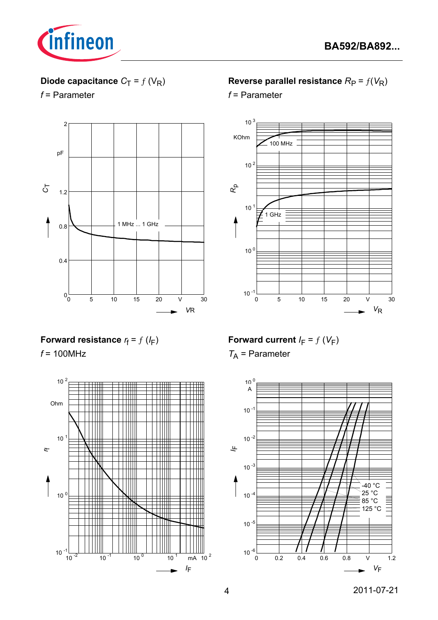

# **Diode capacitance**  $C_T = f(V_R)$

*f* = Parameter



## **Forward resistance**  $r_f = f(l_F)$

*f* = 100MHz



## **Reverse parallel resistance**  $R_P = f(V_R)$

*f* = Parameter



**Forward current**  $I_F = f(V_F)$ 

*T*A = Parameter

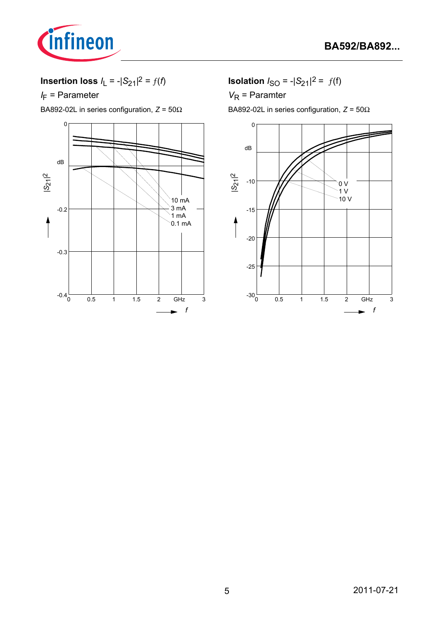

**Insertion loss**  $I_L = -|S_{21}|^2 = f(t)$ 

*I*<sub>F</sub> = Parameter

BA892-02L in series configuration, *Z* = 50Ω



**Isolation**  $I_{SO} = -|S_{21}|^2 = f(f)$ 

*V*<sub>R</sub> = Paramter

BA892-02L in series configuration, *Z* = 50Ω

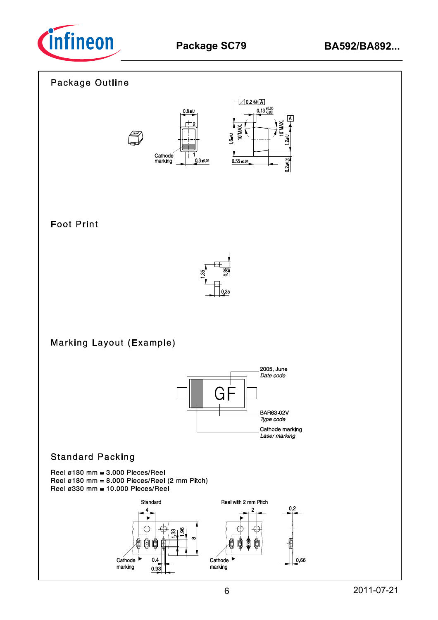

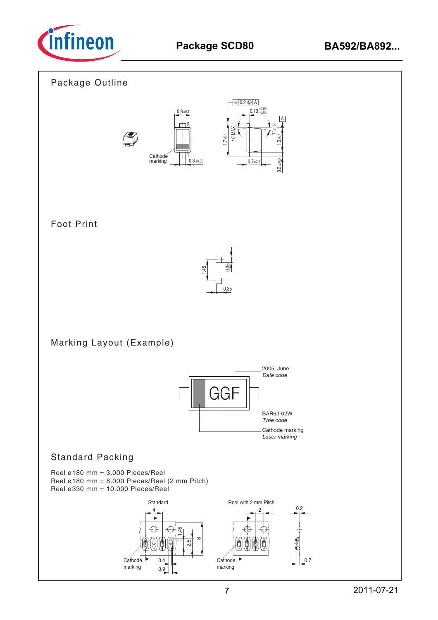

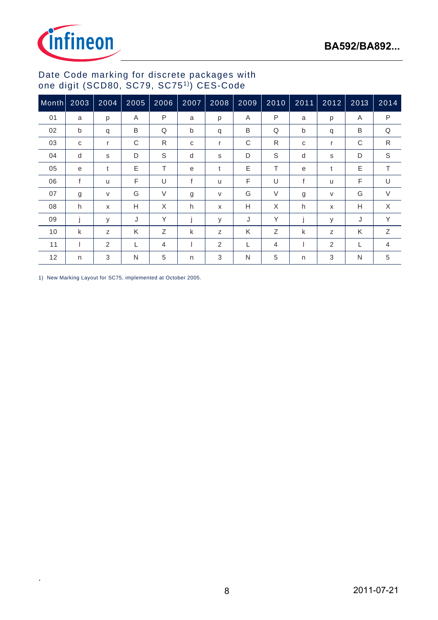

### Date Code marking for discrete packages with one digit (SCD80, SC79, SC751)) CES-Code

| Month | 2003 | 2004   | 2005 | 2006   | 2007 | 2008                      | 2009 | 2010           | $2011$ | 2012 | 2013 | 2014         |
|-------|------|--------|------|--------|------|---------------------------|------|----------------|--------|------|------|--------------|
| 01    | a    | p      | A    | P      | a    | p                         | A    | P              | a      | p    | Α    | P            |
| 02    | b    | q      | B    | Q      | b    | q                         | B    | Q              | b      | q    | B    | Q            |
| 03    | C    | r      | C    | R      | C    | r                         | C    | R              | C      | r    | С    | $\mathsf{R}$ |
| 04    | d    | s      | D    | S      | d    | s                         | D    | S              | d      | s    | D    | $\mathbb S$  |
| 05    | e    | t      | E    | T      | e    | t                         | E    | т              | e      | t    | Ε    | T            |
| 06    | f    | u      | F    | U      | f    | u                         | F    | U              | f      | u    | F    | U            |
| 07    | g    | $\vee$ | G    | $\vee$ | g    | V                         | G    | $\vee$         | g      | V    | G    | $\vee$       |
| 08    | h    | X      | H    | X      | h    | $\boldsymbol{\mathsf{x}}$ | Н    | X              | h      | X    | Н    | X            |
| 09    |      | У      | J    | Y      |      | У                         | J    | Y              |        | у    | J    | Y            |
| 10    | k    | Z      | K    | Ζ      | k    | z                         | K    | Ζ              | k      | Z    | K    | Ζ            |
| 11    |      | 2      | L    | 4      |      | 2                         | L    | $\overline{4}$ |        | 2    | L    | 4            |
| 12    | n    | 3      | N    | 5      | n    | 3                         | N    | 5              | n      | 3    | N    | 5            |

1) New Marking Layout for SC75, implemented at October 2005.

.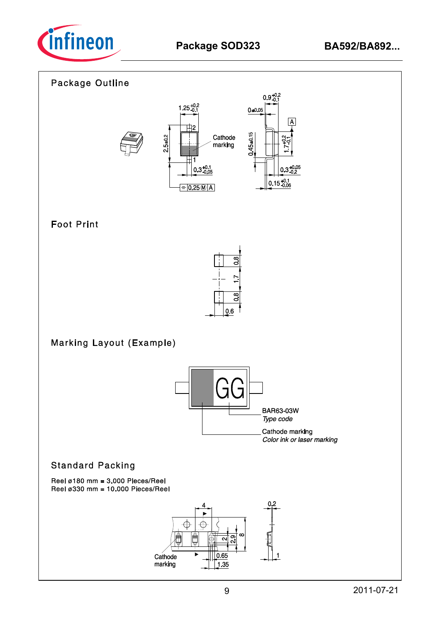

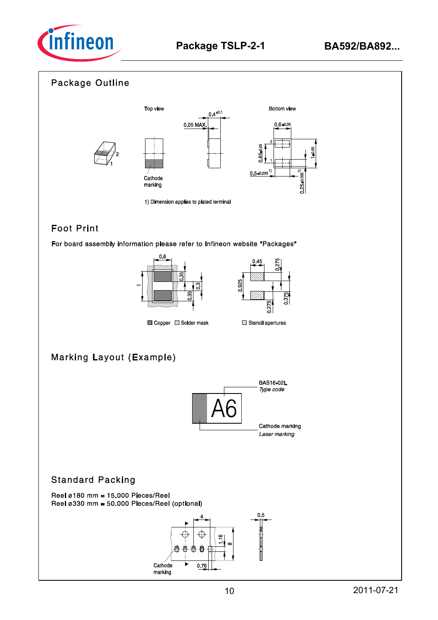



## **Foot Print**

For board assembly information please refer to Infineon website "Packages"





Copper Solder mask

# **Marking Layout (Example)**



### **Standard Packing**

Reel  $\varnothing$ 180 mm = 15.000 Pieces/Reel Reel ø330 mm = 50.000 Pieces/Reel (optional)